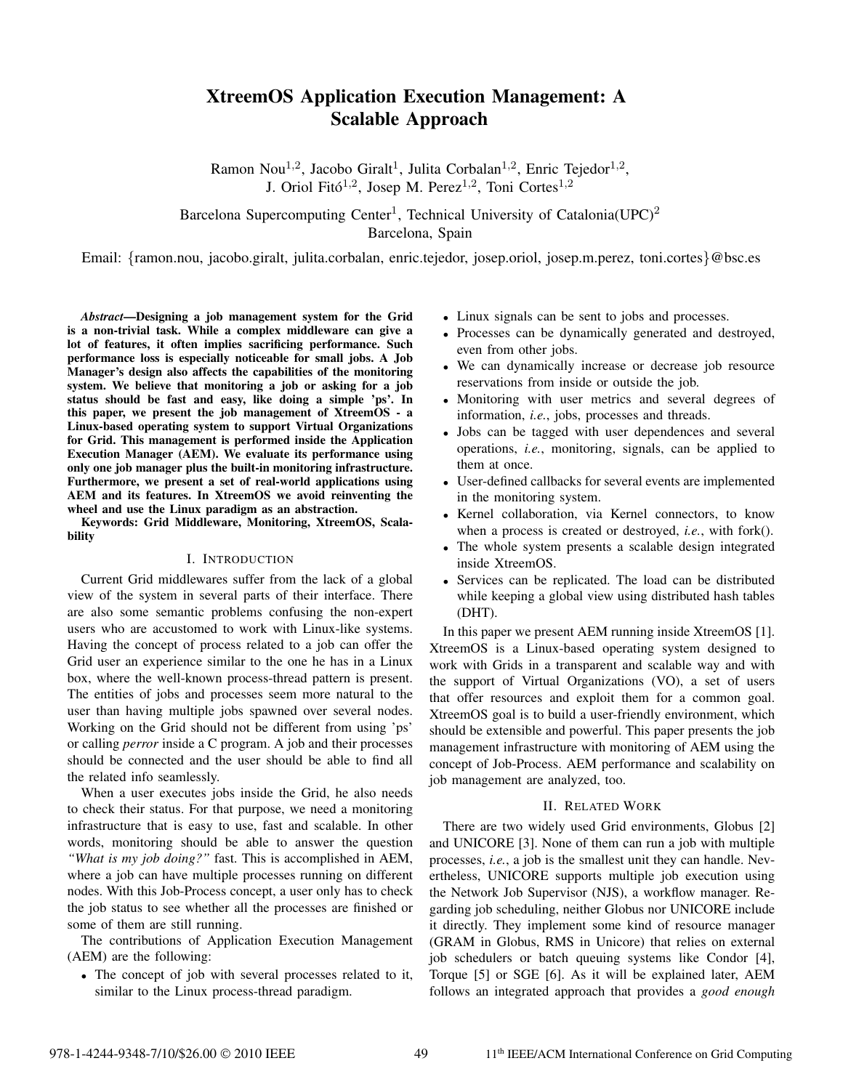# **XtreemOS Application Execution Management: A Scalable Approach**

Ramon Nou<sup>1,2</sup>, Jacobo Giralt<sup>1</sup>, Julita Corbalan<sup>1,2</sup>, Enric Tejedor<sup>1,2</sup>, J. Oriol Fito<sup>1,2</sup>, Josep M. Perez<sup>1,2</sup>, Toni Cortes<sup>1,2</sup>

Barcelona Supercomputing Center<sup>1</sup>, Technical University of Catalonia(UPC)<sup>2</sup> Barcelona, Spain

Email: {ramon.nou, jacobo.giralt, julita.corbalan, enric.tejedor, josep.oriol, josep.m.perez, toni.cortes}@bsc.es

*Abstract*—Designing a job management system for the Grid is a non-trivial task. While a complex middleware can give a lot of features, it often implies sacrificing performance. Such performance loss is especially noticeable for small jobs. A Job Manager's design also affects the capabilities of the monitoring system. We believe that monitoring a job or asking for a job status should be fast and easy, like doing a simple 'ps'. In this paper, we present the job management of XtreemOS - a Linux-based operating system to support Virtual Organizations for Grid. This management is performed inside the Application Execution Manager (AEM). We evaluate its performance using only one job manager plus the built-in monitoring infrastructure. Furthermore, we present a set of real-world applications using AEM and its features. In XtreemOS we avoid reinventing the wheel and use the Linux paradigm as an abstraction.

Keywords: Grid Middleware, Monitoring, XtreemOS, Scalability

## I. INTRODUCTION

Current Grid middlewares suffer from the lack of a global view of the system in several parts of their interface. There are also some semantic problems confusing the non-expert users who are accustomed to work with Linux-like systems. Having the concept of process related to a job can offer the Grid user an experience similar to the one he has in a Linux box, where the well-known process-thread pattern is present. The entities of jobs and processes seem more natural to the user than having multiple jobs spawned over several nodes. Working on the Grid should not be different from using 'ps' or calling *perror* inside a C program. A job and their processes should be connected and the user should be able to find all the related info seamlessly.

When a user executes jobs inside the Grid, he also needs to check their status. For that purpose, we need a monitoring infrastructure that is easy to use, fast and scalable. In other words, monitoring should be able to answer the question *"What is my job doing?"* fast. This is accomplished in AEM, where a job can have multiple processes running on different nodes. With this Job-Process concept, a user only has to check the job status to see whether all the processes are finished or some of them are still running.

The contributions of Application Execution Management (AEM) are the following:

• The concept of job with several processes related to it, similar to the Linux process-thread paradigm.

- Linux signals can be sent to jobs and processes.
- Processes can be dynamically generated and destroyed, even from other jobs.
- We can dynamically increase or decrease job resource reservations from inside or outside the job.
- Monitoring with user metrics and several degrees of information, *i.e.*, jobs, processes and threads.
- Jobs can be tagged with user dependences and several operations, *i.e.*, monitoring, signals, can be applied to them at once.
- User-defined callbacks for several events are implemented in the monitoring system.
- Kernel collaboration, via Kernel connectors, to know when a process is created or destroyed, *i.e.*, with fork().
- The whole system presents a scalable design integrated inside XtreemOS.
- Services can be replicated. The load can be distributed while keeping a global view using distributed hash tables (DHT).

In this paper we present AEM running inside XtreemOS [1]. XtreemOS is a Linux-based operating system designed to work with Grids in a transparent and scalable way and with the support of Virtual Organizations (VO), a set of users that offer resources and exploit them for a common goal. XtreemOS goal is to build a user-friendly environment, which should be extensible and powerful. This paper presents the job management infrastructure with monitoring of AEM using the concept of Job-Process. AEM performance and scalability on job management are analyzed, too.

#### II. RELATED WORK

There are two widely used Grid environments, Globus [2] and UNICORE [3]. None of them can run a job with multiple processes, *i.e.*, a job is the smallest unit they can handle. Nevertheless, UNICORE supports multiple job execution using the Network Job Supervisor (NJS), a workflow manager. Regarding job scheduling, neither Globus nor UNICORE include it directly. They implement some kind of resource manager (GRAM in Globus, RMS in Unicore) that relies on external job schedulers or batch queuing systems like Condor [4], Torque [5] or SGE [6]. As it will be explained later, AEM follows an integrated approach that provides a *good enough*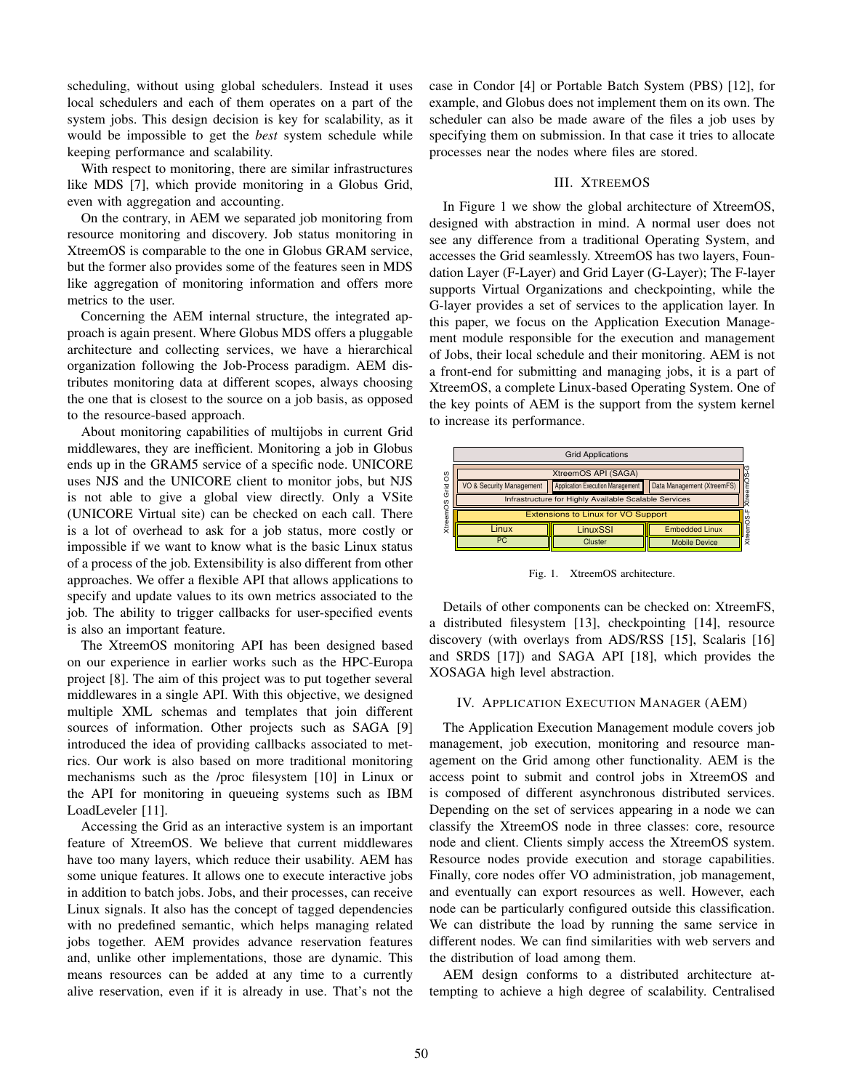scheduling, without using global schedulers. Instead it uses local schedulers and each of them operates on a part of the system jobs. This design decision is key for scalability, as it would be impossible to get the *best* system schedule while keeping performance and scalability.

With respect to monitoring, there are similar infrastructures like MDS [7], which provide monitoring in a Globus Grid, even with aggregation and accounting.

On the contrary, in AEM we separated job monitoring from resource monitoring and discovery. Job status monitoring in XtreemOS is comparable to the one in Globus GRAM service, but the former also provides some of the features seen in MDS like aggregation of monitoring information and offers more metrics to the user.

Concerning the AEM internal structure, the integrated approach is again present. Where Globus MDS offers a pluggable architecture and collecting services, we have a hierarchical organization following the Job-Process paradigm. AEM distributes monitoring data at different scopes, always choosing the one that is closest to the source on a job basis, as opposed to the resource-based approach.

About monitoring capabilities of multijobs in current Grid middlewares, they are inefficient. Monitoring a job in Globus ends up in the GRAM5 service of a specific node. UNICORE uses NJS and the UNICORE client to monitor jobs, but NJS is not able to give a global view directly. Only a VSite (UNICORE Virtual site) can be checked on each call. There is a lot of overhead to ask for a job status, more costly or impossible if we want to know what is the basic Linux status of a process of the job. Extensibility is also different from other approaches. We offer a flexible API that allows applications to specify and update values to its own metrics associated to the job. The ability to trigger callbacks for user-specified events is also an important feature.

The XtreemOS monitoring API has been designed based on our experience in earlier works such as the HPC-Europa project [8]. The aim of this project was to put together several middlewares in a single API. With this objective, we designed multiple XML schemas and templates that join different sources of information. Other projects such as SAGA [9] introduced the idea of providing callbacks associated to metrics. Our work is also based on more traditional monitoring mechanisms such as the /proc filesystem [10] in Linux or the API for monitoring in queueing systems such as IBM LoadLeveler [11].

Accessing the Grid as an interactive system is an important feature of XtreemOS. We believe that current middlewares have too many layers, which reduce their usability. AEM has some unique features. It allows one to execute interactive jobs in addition to batch jobs. Jobs, and their processes, can receive Linux signals. It also has the concept of tagged dependencies with no predefined semantic, which helps managing related jobs together. AEM provides advance reservation features and, unlike other implementations, those are dynamic. This means resources can be added at any time to a currently alive reservation, even if it is already in use. That's not the case in Condor [4] or Portable Batch System (PBS) [12], for example, and Globus does not implement them on its own. The scheduler can also be made aware of the files a job uses by specifying them on submission. In that case it tries to allocate processes near the nodes where files are stored.

## III. XTREEMOS

In Figure 1 we show the global architecture of XtreemOS, designed with abstraction in mind. A normal user does not see any difference from a traditional Operating System, and accesses the Grid seamlessly. XtreemOS has two layers, Foundation Layer (F-Layer) and Grid Layer (G-Layer); The F-layer supports Virtual Organizations and checkpointing, while the G-layer provides a set of services to the application layer. In this paper, we focus on the Application Execution Management module responsible for the execution and management of Jobs, their local schedule and their monitoring. AEM is not a front-end for submitting and managing jobs, it is a part of XtreemOS, a complete Linux-based Operating System. One of the key points of AEM is the support from the system kernel to increase its performance.



Fig. 1. XtreemOS architecture.

Details of other components can be checked on: XtreemFS, a distributed filesystem [13], checkpointing [14], resource discovery (with overlays from ADS/RSS [15], Scalaris [16] and SRDS [17]) and SAGA API [18], which provides the XOSAGA high level abstraction.

#### IV. APPLICATION EXECUTION MANAGER (AEM)

The Application Execution Management module covers job management, job execution, monitoring and resource management on the Grid among other functionality. AEM is the access point to submit and control jobs in XtreemOS and is composed of different asynchronous distributed services. Depending on the set of services appearing in a node we can classify the XtreemOS node in three classes: core, resource node and client. Clients simply access the XtreemOS system. Resource nodes provide execution and storage capabilities. Finally, core nodes offer VO administration, job management, and eventually can export resources as well. However, each node can be particularly configured outside this classification. We can distribute the load by running the same service in different nodes. We can find similarities with web servers and the distribution of load among them.

AEM design conforms to a distributed architecture attempting to achieve a high degree of scalability. Centralised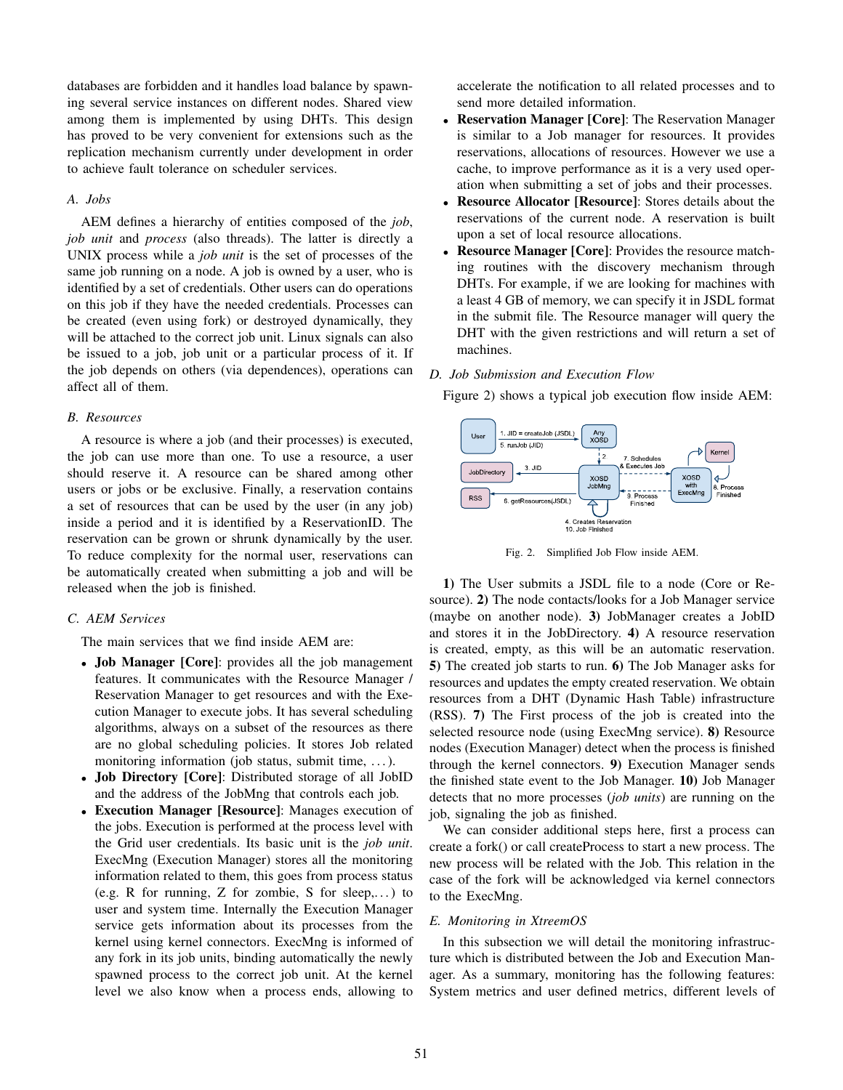databases are forbidden and it handles load balance by spawning several service instances on different nodes. Shared view among them is implemented by using DHTs. This design has proved to be very convenient for extensions such as the replication mechanism currently under development in order to achieve fault tolerance on scheduler services.

#### *A. Jobs*

AEM defines a hierarchy of entities composed of the *job*, *job unit* and *process* (also threads). The latter is directly a UNIX process while a *job unit* is the set of processes of the same job running on a node. A job is owned by a user, who is identified by a set of credentials. Other users can do operations on this job if they have the needed credentials. Processes can be created (even using fork) or destroyed dynamically, they will be attached to the correct job unit. Linux signals can also be issued to a job, job unit or a particular process of it. If the job depends on others (via dependences), operations can affect all of them.

## *B. Resources*

A resource is where a job (and their processes) is executed, the job can use more than one. To use a resource, a user should reserve it. A resource can be shared among other users or jobs or be exclusive. Finally, a reservation contains a set of resources that can be used by the user (in any job) inside a period and it is identified by a ReservationID. The reservation can be grown or shrunk dynamically by the user. To reduce complexity for the normal user, reservations can be automatically created when submitting a job and will be released when the job is finished.

## *C. AEM Services*

The main services that we find inside AEM are:

- Job Manager [Core]: provides all the job management features. It communicates with the Resource Manager / Reservation Manager to get resources and with the Execution Manager to execute jobs. It has several scheduling algorithms, always on a subset of the resources as there are no global scheduling policies. It stores Job related monitoring information (job status, submit time, ...).
- Job Directory [Core]: Distributed storage of all JobID and the address of the JobMng that controls each job.
- Execution Manager [Resource]: Manages execution of the jobs. Execution is performed at the process level with the Grid user credentials. Its basic unit is the *job unit*. ExecMng (Execution Manager) stores all the monitoring information related to them, this goes from process status (e.g. R for running, Z for zombie, S for sleep,...) to user and system time. Internally the Execution Manager service gets information about its processes from the kernel using kernel connectors. ExecMng is informed of any fork in its job units, binding automatically the newly spawned process to the correct job unit. At the kernel level we also know when a process ends, allowing to

accelerate the notification to all related processes and to send more detailed information.

- **Reservation Manager [Core]: The Reservation Manager** is similar to a Job manager for resources. It provides reservations, allocations of resources. However we use a cache, to improve performance as it is a very used operation when submitting a set of jobs and their processes.
- Resource Allocator [Resource]: Stores details about the reservations of the current node. A reservation is built upon a set of local resource allocations.
- Resource Manager [Core]: Provides the resource matching routines with the discovery mechanism through DHTs. For example, if we are looking for machines with a least 4 GB of memory, we can specify it in JSDL format in the submit file. The Resource manager will query the DHT with the given restrictions and will return a set of machines.

#### *D. Job Submission and Execution Flow*

Figure 2) shows a typical job execution flow inside AEM:



Fig. 2. Simplified Job Flow inside AEM.

1) The User submits a JSDL file to a node (Core or Resource). 2) The node contacts/looks for a Job Manager service (maybe on another node). 3) JobManager creates a JobID and stores it in the JobDirectory. 4) A resource reservation is created, empty, as this will be an automatic reservation. 5) The created job starts to run. 6) The Job Manager asks for resources and updates the empty created reservation. We obtain resources from a DHT (Dynamic Hash Table) infrastructure (RSS). 7) The First process of the job is created into the selected resource node (using ExecMng service). 8) Resource nodes (Execution Manager) detect when the process is finished through the kernel connectors. 9) Execution Manager sends the finished state event to the Job Manager. 10) Job Manager detects that no more processes (*job units*) are running on the job, signaling the job as finished.

We can consider additional steps here, first a process can create a fork() or call createProcess to start a new process. The new process will be related with the Job. This relation in the case of the fork will be acknowledged via kernel connectors to the ExecMng.

## *E. Monitoring in XtreemOS*

In this subsection we will detail the monitoring infrastructure which is distributed between the Job and Execution Manager. As a summary, monitoring has the following features: System metrics and user defined metrics, different levels of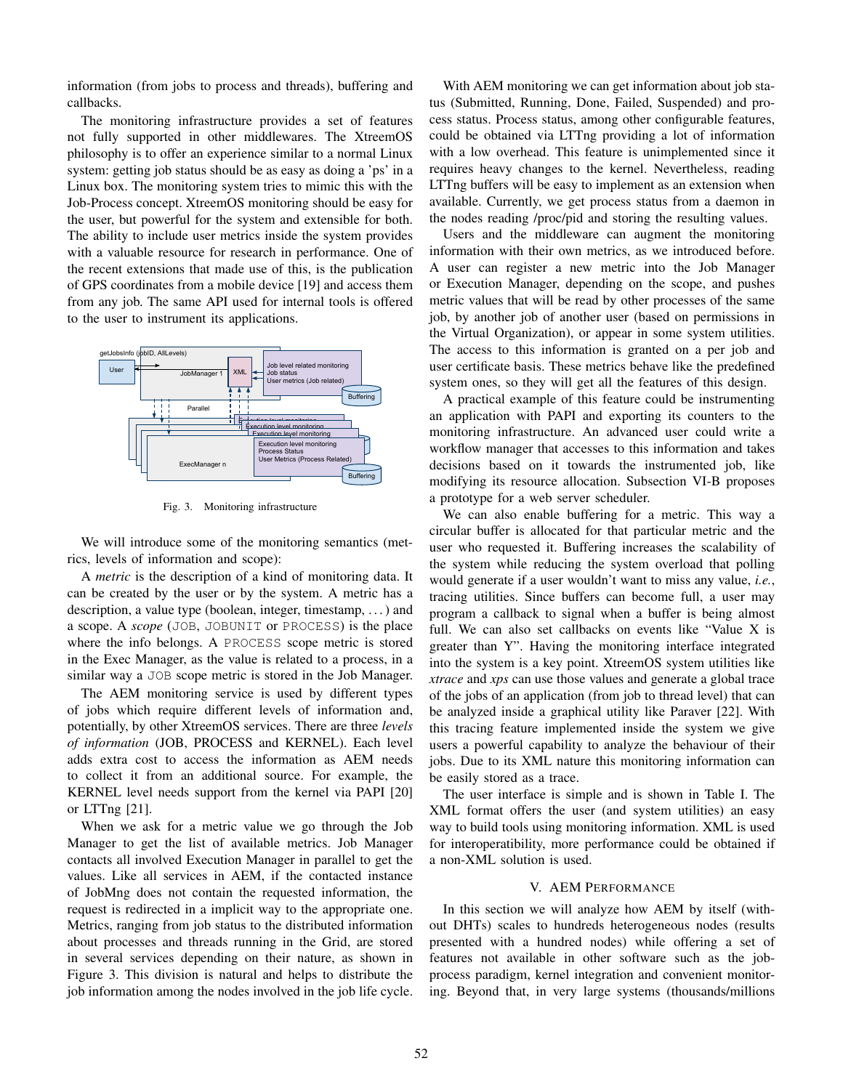information (from jobs to process and threads), buffering and callbacks.

The monitoring infrastructure provides a set of features not fully supported in other middlewares. The XtreemOS philosophy is to offer an experience similar to a normal Linux system: getting job status should be as easy as doing a 'ps' in a Linux box. The monitoring system tries to mimic this with the Job-Process concept. XtreemOS monitoring should be easy for the user, but powerful for the system and extensible for both. The ability to include user metrics inside the system provides with a valuable resource for research in performance. One of the recent extensions that made use of this, is the publication of GPS coordinates from a mobile device [19] and access them from any job. The same API used for internal tools is offered to the user to instrument its applications.



Fig. 3. Monitoring infrastructure

We will introduce some of the monitoring semantics (metrics, levels of information and scope):

A *metric* is the description of a kind of monitoring data. It can be created by the user or by the system. A metric has a description, a value type (boolean, integer, timestamp, . . . ) and a scope. A *scope* (JOB, JOBUNIT or PROCESS) is the place where the info belongs. A PROCESS scope metric is stored in the Exec Manager, as the value is related to a process, in a similar way a JOB scope metric is stored in the Job Manager.

The AEM monitoring service is used by different types of jobs which require different levels of information and, potentially, by other XtreemOS services. There are three *levels of information* (JOB, PROCESS and KERNEL). Each level adds extra cost to access the information as AEM needs to collect it from an additional source. For example, the KERNEL level needs support from the kernel via PAPI [20] or LTTng [21].

When we ask for a metric value we go through the Job Manager to get the list of available metrics. Job Manager contacts all involved Execution Manager in parallel to get the values. Like all services in AEM, if the contacted instance of JobMng does not contain the requested information, the request is redirected in a implicit way to the appropriate one. Metrics, ranging from job status to the distributed information about processes and threads running in the Grid, are stored in several services depending on their nature, as shown in Figure 3. This division is natural and helps to distribute the job information among the nodes involved in the job life cycle.

With AEM monitoring we can get information about job status (Submitted, Running, Done, Failed, Suspended) and process status. Process status, among other configurable features, could be obtained via LTTng providing a lot of information with a low overhead. This feature is unimplemented since it requires heavy changes to the kernel. Nevertheless, reading LTTng buffers will be easy to implement as an extension when available. Currently, we get process status from a daemon in the nodes reading /proc/pid and storing the resulting values.

Users and the middleware can augment the monitoring information with their own metrics, as we introduced before. A user can register a new metric into the Job Manager or Execution Manager, depending on the scope, and pushes metric values that will be read by other processes of the same job, by another job of another user (based on permissions in the Virtual Organization), or appear in some system utilities. The access to this information is granted on a per job and user certificate basis. These metrics behave like the predefined system ones, so they will get all the features of this design.

A practical example of this feature could be instrumenting an application with PAPI and exporting its counters to the monitoring infrastructure. An advanced user could write a workflow manager that accesses to this information and takes decisions based on it towards the instrumented job, like modifying its resource allocation. Subsection VI-B proposes a prototype for a web server scheduler.

We can also enable buffering for a metric. This way a circular buffer is allocated for that particular metric and the user who requested it. Buffering increases the scalability of the system while reducing the system overload that polling would generate if a user wouldn't want to miss any value, *i.e.*, tracing utilities. Since buffers can become full, a user may program a callback to signal when a buffer is being almost full. We can also set callbacks on events like "Value X is greater than Y". Having the monitoring interface integrated into the system is a key point. XtreemOS system utilities like *xtrace* and *xps* can use those values and generate a global trace of the jobs of an application (from job to thread level) that can be analyzed inside a graphical utility like Paraver [22]. With this tracing feature implemented inside the system we give users a powerful capability to analyze the behaviour of their jobs. Due to its XML nature this monitoring information can be easily stored as a trace.

The user interface is simple and is shown in Table I. The XML format offers the user (and system utilities) an easy way to build tools using monitoring information. XML is used for interoperatibility, more performance could be obtained if a non-XML solution is used.

## V. AEM PERFORMANCE

In this section we will analyze how AEM by itself (without DHTs) scales to hundreds heterogeneous nodes (results presented with a hundred nodes) while offering a set of features not available in other software such as the jobprocess paradigm, kernel integration and convenient monitoring. Beyond that, in very large systems (thousands/millions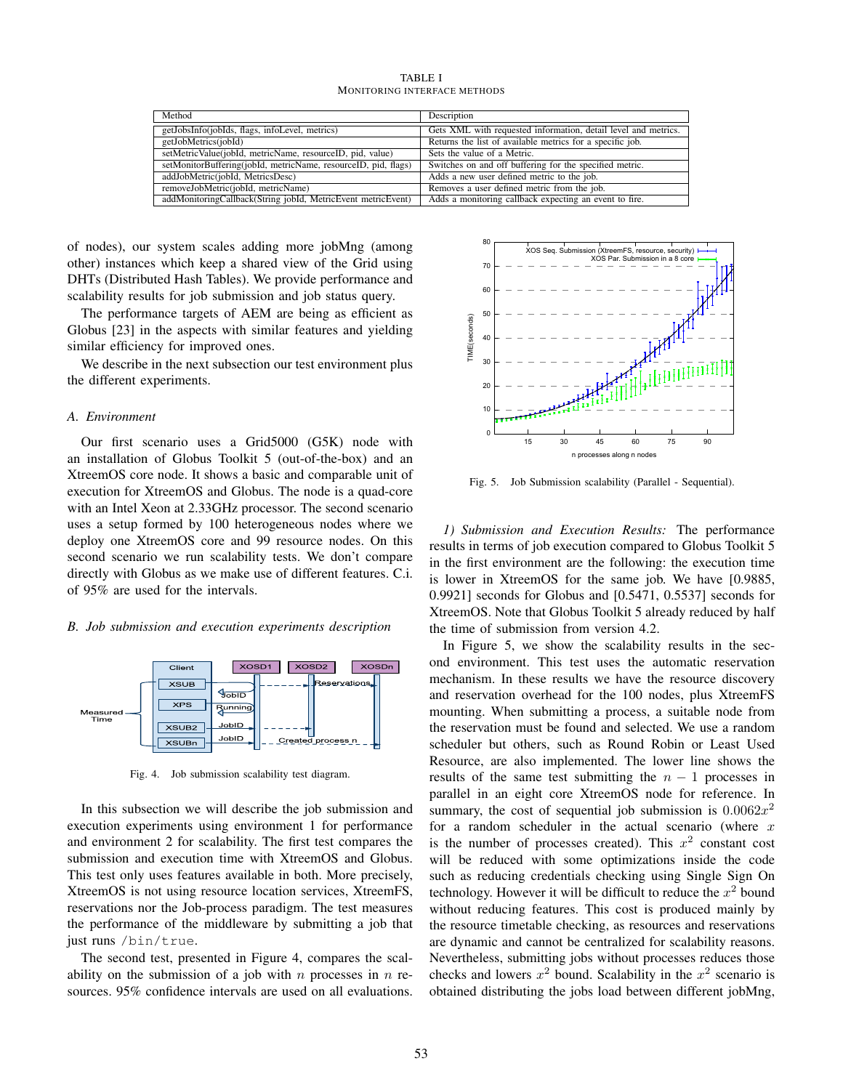TABLE I MONITORING INTERFACE METHODS

| Method                                                         | Description                                                    |
|----------------------------------------------------------------|----------------------------------------------------------------|
| getJobsInfo(jobIds, flags, infoLevel, metrics)                 | Gets XML with requested information, detail level and metrics. |
| getJobMetrics(jobId)                                           | Returns the list of available metrics for a specific job.      |
| setMetricValue(jobId, metricName, resourceID, pid, value)      | Sets the value of a Metric.                                    |
| setMonitorBuffering(jobId, metricName, resourceID, pid, flags) | Switches on and off buffering for the specified metric.        |
| addJobMetric(jobId, MetricsDesc)                               | Adds a new user defined metric to the job.                     |
| removeJobMetric(jobId, metricName)                             | Removes a user defined metric from the job.                    |
| addMonitoringCallback(String jobId, MetricEvent metricEvent)   | Adds a monitoring callback expecting an event to fire.         |

of nodes), our system scales adding more jobMng (among other) instances which keep a shared view of the Grid using DHTs (Distributed Hash Tables). We provide performance and scalability results for job submission and job status query.

The performance targets of AEM are being as efficient as Globus [23] in the aspects with similar features and yielding similar efficiency for improved ones.

We describe in the next subsection our test environment plus the different experiments.

#### *A. Environment*

Our first scenario uses a Grid5000 (G5K) node with an installation of Globus Toolkit 5 (out-of-the-box) and an XtreemOS core node. It shows a basic and comparable unit of execution for XtreemOS and Globus. The node is a quad-core with an Intel Xeon at 2.33GHz processor. The second scenario uses a setup formed by 100 heterogeneous nodes where we deploy one XtreemOS core and 99 resource nodes. On this second scenario we run scalability tests. We don't compare directly with Globus as we make use of different features. C.i. of 95% are used for the intervals.

#### *B. Job submission and execution experiments description*



Fig. 4. Job submission scalability test diagram.

In this subsection we will describe the job submission and execution experiments using environment 1 for performance and environment 2 for scalability. The first test compares the submission and execution time with XtreemOS and Globus. This test only uses features available in both. More precisely, XtreemOS is not using resource location services, XtreemFS, reservations nor the Job-process paradigm. The test measures the performance of the middleware by submitting a job that just runs /bin/true.

The second test, presented in Figure 4, compares the scalability on the submission of a job with  $n$  processes in  $n$  resources. 95% confidence intervals are used on all evaluations.



Fig. 5. Job Submission scalability (Parallel - Sequential).

*1) Submission and Execution Results:* The performance results in terms of job execution compared to Globus Toolkit 5 in the first environment are the following: the execution time is lower in XtreemOS for the same job. We have [0.9885, 0.9921] seconds for Globus and [0.5471, 0.5537] seconds for XtreemOS. Note that Globus Toolkit 5 already reduced by half the time of submission from version 4.2.

In Figure 5, we show the scalability results in the second environment. This test uses the automatic reservation mechanism. In these results we have the resource discovery and reservation overhead for the 100 nodes, plus XtreemFS mounting. When submitting a process, a suitable node from the reservation must be found and selected. We use a random scheduler but others, such as Round Robin or Least Used Resource, are also implemented. The lower line shows the results of the same test submitting the  $n - 1$  processes in parallel in an eight core XtreemOS node for reference. In summary, the cost of sequential job submission is  $0.0062x^2$ for a random scheduler in the actual scenario (where  $x$ is the number of processes created). This  $x^2$  constant cost will be reduced with some optimizations inside the code such as reducing credentials checking using Single Sign On technology. However it will be difficult to reduce the  $x^2$  bound without reducing features. This cost is produced mainly by the resource timetable checking, as resources and reservations are dynamic and cannot be centralized for scalability reasons. Nevertheless, submitting jobs without processes reduces those checks and lowers  $x^2$  bound. Scalability in the  $x^2$  scenario is obtained distributing the jobs load between different jobMng,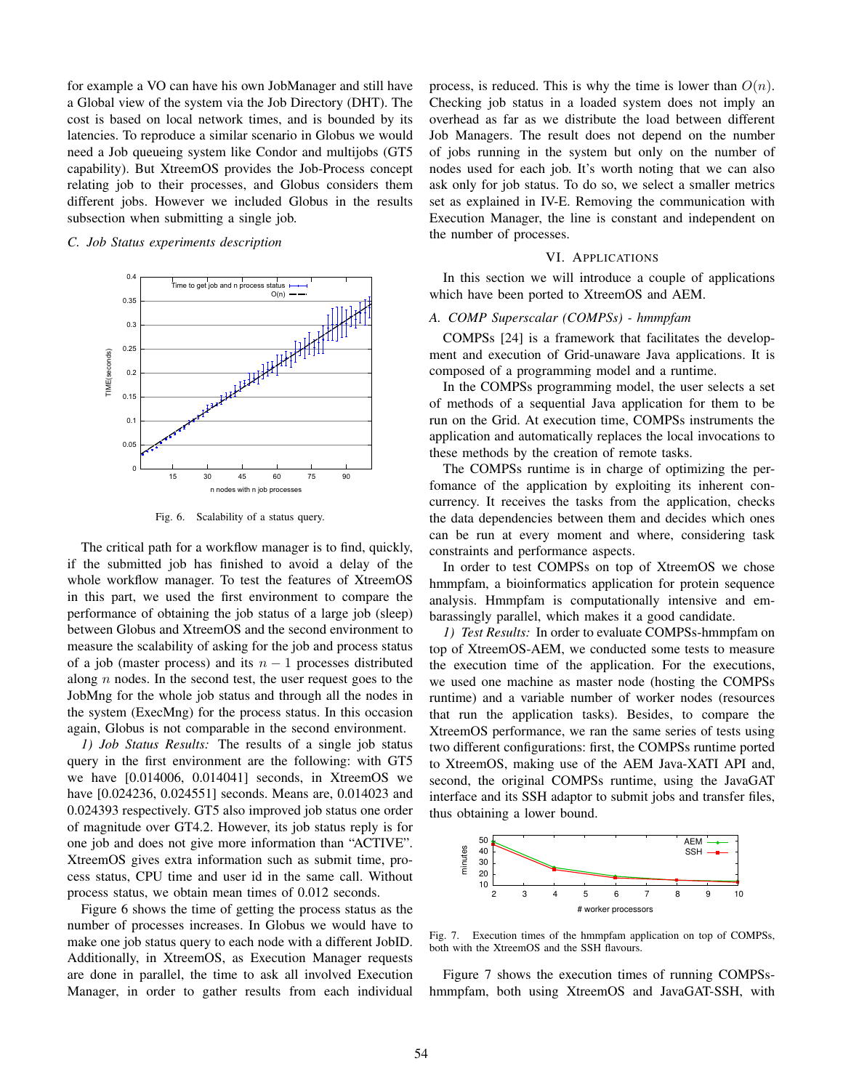for example a VO can have his own JobManager and still have a Global view of the system via the Job Directory (DHT). The cost is based on local network times, and is bounded by its latencies. To reproduce a similar scenario in Globus we would need a Job queueing system like Condor and multijobs (GT5 capability). But XtreemOS provides the Job-Process concept relating job to their processes, and Globus considers them different jobs. However we included Globus in the results subsection when submitting a single job.

## *C. Job Status experiments description*



Fig. 6. Scalability of a status query.

The critical path for a workflow manager is to find, quickly, if the submitted job has finished to avoid a delay of the whole workflow manager. To test the features of XtreemOS in this part, we used the first environment to compare the performance of obtaining the job status of a large job (sleep) between Globus and XtreemOS and the second environment to measure the scalability of asking for the job and process status of a job (master process) and its  $n - 1$  processes distributed along  $n$  nodes. In the second test, the user request goes to the JobMng for the whole job status and through all the nodes in the system (ExecMng) for the process status. In this occasion again, Globus is not comparable in the second environment.

*1) Job Status Results:* The results of a single job status query in the first environment are the following: with GT5 we have [0.014006, 0.014041] seconds, in XtreemOS we have [0.024236, 0.024551] seconds. Means are, 0.014023 and 0.024393 respectively. GT5 also improved job status one order of magnitude over GT4.2. However, its job status reply is for one job and does not give more information than "ACTIVE". XtreemOS gives extra information such as submit time, process status, CPU time and user id in the same call. Without process status, we obtain mean times of 0.012 seconds.

Figure 6 shows the time of getting the process status as the number of processes increases. In Globus we would have to make one job status query to each node with a different JobID. Additionally, in XtreemOS, as Execution Manager requests are done in parallel, the time to ask all involved Execution Manager, in order to gather results from each individual process, is reduced. This is why the time is lower than  $O(n)$ . Checking job status in a loaded system does not imply an overhead as far as we distribute the load between different Job Managers. The result does not depend on the number of jobs running in the system but only on the number of nodes used for each job. It's worth noting that we can also ask only for job status. To do so, we select a smaller metrics set as explained in IV-E. Removing the communication with Execution Manager, the line is constant and independent on the number of processes.

#### VI. APPLICATIONS

In this section we will introduce a couple of applications which have been ported to XtreemOS and AEM.

#### *A. COMP Superscalar (COMPSs) - hmmpfam*

COMPSs [24] is a framework that facilitates the development and execution of Grid-unaware Java applications. It is composed of a programming model and a runtime.

In the COMPSs programming model, the user selects a set of methods of a sequential Java application for them to be run on the Grid. At execution time, COMPSs instruments the application and automatically replaces the local invocations to these methods by the creation of remote tasks.

The COMPSs runtime is in charge of optimizing the perfomance of the application by exploiting its inherent concurrency. It receives the tasks from the application, checks the data dependencies between them and decides which ones can be run at every moment and where, considering task constraints and performance aspects.

In order to test COMPSs on top of XtreemOS we chose hmmpfam, a bioinformatics application for protein sequence analysis. Hmmpfam is computationally intensive and embarassingly parallel, which makes it a good candidate.

*1) Test Results:* In order to evaluate COMPSs-hmmpfam on top of XtreemOS-AEM, we conducted some tests to measure the execution time of the application. For the executions, we used one machine as master node (hosting the COMPSs runtime) and a variable number of worker nodes (resources that run the application tasks). Besides, to compare the XtreemOS performance, we ran the same series of tests using two different configurations: first, the COMPSs runtime ported to XtreemOS, making use of the AEM Java-XATI API and, second, the original COMPSs runtime, using the JavaGAT interface and its SSH adaptor to submit jobs and transfer files, thus obtaining a lower bound.



Fig. 7. Execution times of the hmmpfam application on top of COMPSs, both with the XtreemOS and the SSH flavours.

Figure 7 shows the execution times of running COMPSshmmpfam, both using XtreemOS and JavaGAT-SSH, with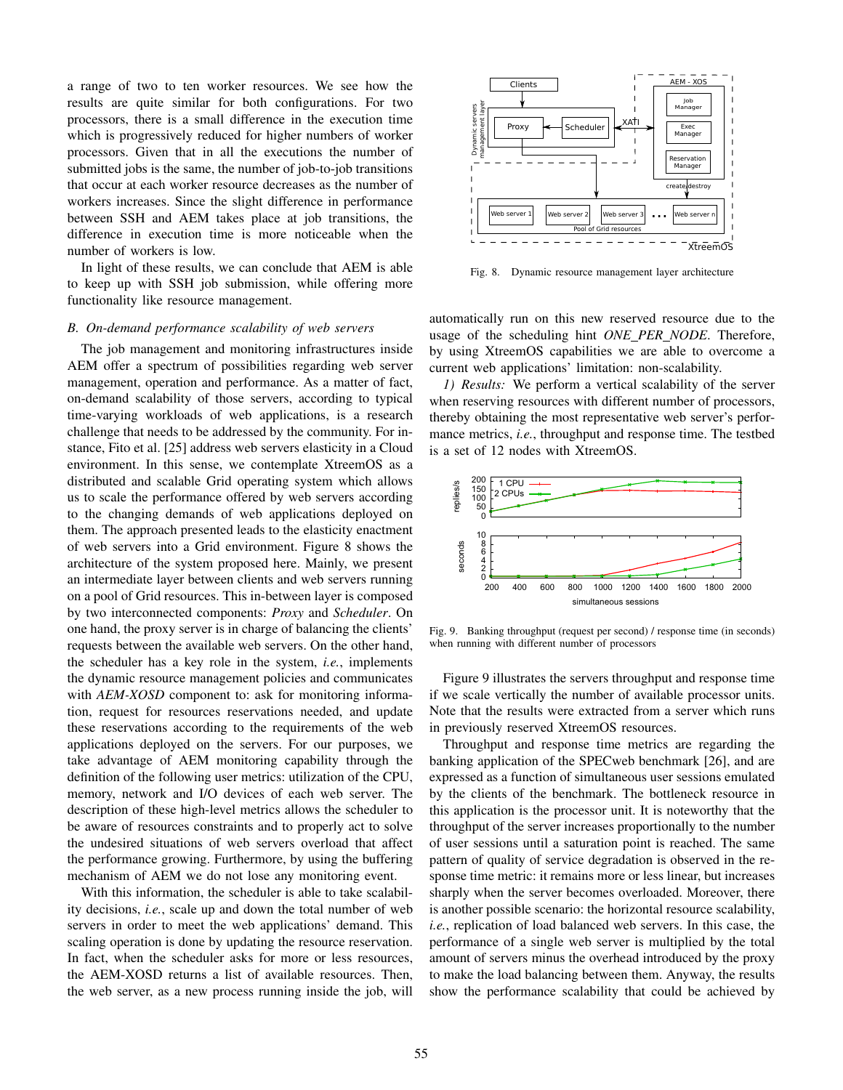a range of two to ten worker resources. We see how the results are quite similar for both configurations. For two processors, there is a small difference in the execution time which is progressively reduced for higher numbers of worker processors. Given that in all the executions the number of submitted jobs is the same, the number of job-to-job transitions that occur at each worker resource decreases as the number of workers increases. Since the slight difference in performance between SSH and AEM takes place at job transitions, the difference in execution time is more noticeable when the number of workers is low.

In light of these results, we can conclude that AEM is able to keep up with SSH job submission, while offering more functionality like resource management.

#### *B. On-demand performance scalability of web servers*

The job management and monitoring infrastructures inside AEM offer a spectrum of possibilities regarding web server management, operation and performance. As a matter of fact, on-demand scalability of those servers, according to typical time-varying workloads of web applications, is a research challenge that needs to be addressed by the community. For instance, Fito et al. [25] address web servers elasticity in a Cloud environment. In this sense, we contemplate XtreemOS as a distributed and scalable Grid operating system which allows us to scale the performance offered by web servers according to the changing demands of web applications deployed on them. The approach presented leads to the elasticity enactment of web servers into a Grid environment. Figure 8 shows the architecture of the system proposed here. Mainly, we present an intermediate layer between clients and web servers running on a pool of Grid resources. This in-between layer is composed by two interconnected components: *Proxy* and *Scheduler*. On one hand, the proxy server is in charge of balancing the clients' requests between the available web servers. On the other hand, the scheduler has a key role in the system, *i.e.*, implements the dynamic resource management policies and communicates with *AEM-XOSD* component to: ask for monitoring information, request for resources reservations needed, and update these reservations according to the requirements of the web applications deployed on the servers. For our purposes, we take advantage of AEM monitoring capability through the definition of the following user metrics: utilization of the CPU, memory, network and I/O devices of each web server. The description of these high-level metrics allows the scheduler to be aware of resources constraints and to properly act to solve the undesired situations of web servers overload that affect the performance growing. Furthermore, by using the buffering mechanism of AEM we do not lose any monitoring event.

With this information, the scheduler is able to take scalability decisions, *i.e.*, scale up and down the total number of web servers in order to meet the web applications' demand. This scaling operation is done by updating the resource reservation. In fact, when the scheduler asks for more or less resources, the AEM-XOSD returns a list of available resources. Then, the web server, as a new process running inside the job, will



Fig. 8. Dynamic resource management layer architecture

automatically run on this new reserved resource due to the usage of the scheduling hint *ONE PER NODE*. Therefore, by using XtreemOS capabilities we are able to overcome a current web applications' limitation: non-scalability.

*1) Results:* We perform a vertical scalability of the server when reserving resources with different number of processors, thereby obtaining the most representative web server's performance metrics, *i.e.*, throughput and response time. The testbed is a set of 12 nodes with XtreemOS.



Fig. 9. Banking throughput (request per second) / response time (in seconds) when running with different number of processors

Figure 9 illustrates the servers throughput and response time if we scale vertically the number of available processor units. Note that the results were extracted from a server which runs in previously reserved XtreemOS resources.

Throughput and response time metrics are regarding the banking application of the SPECweb benchmark [26], and are expressed as a function of simultaneous user sessions emulated by the clients of the benchmark. The bottleneck resource in this application is the processor unit. It is noteworthy that the throughput of the server increases proportionally to the number of user sessions until a saturation point is reached. The same pattern of quality of service degradation is observed in the response time metric: it remains more or less linear, but increases sharply when the server becomes overloaded. Moreover, there is another possible scenario: the horizontal resource scalability, *i.e.*, replication of load balanced web servers. In this case, the performance of a single web server is multiplied by the total amount of servers minus the overhead introduced by the proxy to make the load balancing between them. Anyway, the results show the performance scalability that could be achieved by